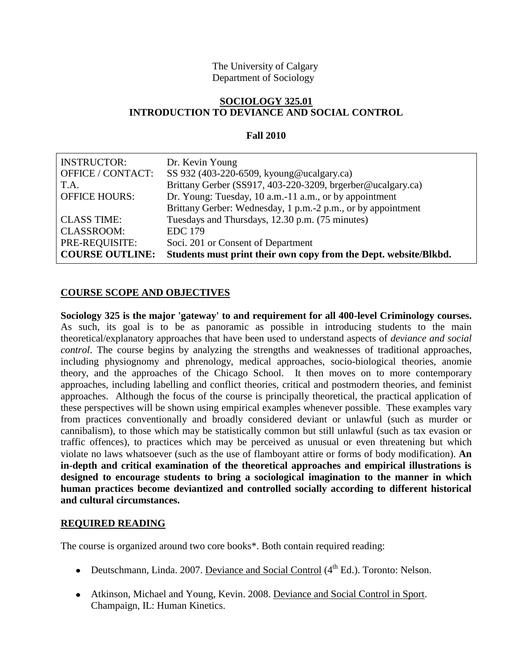## The University of Calgary Department of Sociology

## **SOCIOLOGY 325.01 INTRODUCTION TO DEVIANCE AND SOCIAL CONTROL**

## **Fall 2010**

| <b>INSTRUCTOR:</b>     | Dr. Kevin Young                                                  |
|------------------------|------------------------------------------------------------------|
| OFFICE / CONTACT:      | SS 932 (403-220-6509, kyoung@ucalgary.ca)                        |
| T.A.                   | Brittany Gerber (SS917, 403-220-3209, brgerber@ucalgary.ca)      |
| <b>OFFICE HOURS:</b>   | Dr. Young: Tuesday, 10 a.m.-11 a.m., or by appointment           |
|                        | Brittany Gerber: Wednesday, 1 p.m.-2 p.m., or by appointment     |
| <b>CLASS TIME:</b>     | Tuesdays and Thursdays, 12.30 p.m. (75 minutes)                  |
| <b>CLASSROOM:</b>      | <b>EDC</b> 179                                                   |
| PRE-REQUISITE:         | Soci. 201 or Consent of Department                               |
| <b>COURSE OUTLINE:</b> | Students must print their own copy from the Dept. website/Blkbd. |

# **COURSE SCOPE AND OBJECTIVES**

**Sociology 325 is the major 'gateway' to and requirement for all 400-level Criminology courses.** As such, its goal is to be as panoramic as possible in introducing students to the main theoretical/explanatory approaches that have been used to understand aspects of *deviance and social control*. The course begins by analyzing the strengths and weaknesses of traditional approaches, including physiognomy and phrenology, medical approaches, socio-biological theories, anomie theory, and the approaches of the Chicago School. It then moves on to more contemporary approaches, including labelling and conflict theories, critical and postmodern theories, and feminist approaches. Although the focus of the course is principally theoretical, the practical application of these perspectives will be shown using empirical examples whenever possible. These examples vary from practices conventionally and broadly considered deviant or unlawful (such as murder or cannibalism), to those which may be statistically common but still unlawful (such as tax evasion or traffic offences), to practices which may be perceived as unusual or even threatening but which violate no laws whatsoever (such as the use of flamboyant attire or forms of body modification). **An in-depth and critical examination of the theoretical approaches and empirical illustrations is designed to encourage students to bring a sociological imagination to the manner in which human practices become deviantized and controlled socially according to different historical and cultural circumstances.**

## **REQUIRED READING**

The course is organized around two core books\*. Both contain required reading:

- Deutschmann, Linda. 2007. Deviance and Social Control  $(4^{th}$  Ed.). Toronto: Nelson.
- Atkinson, Michael and Young, Kevin. 2008. Deviance and Social Control in Sport. Champaign, IL: Human Kinetics.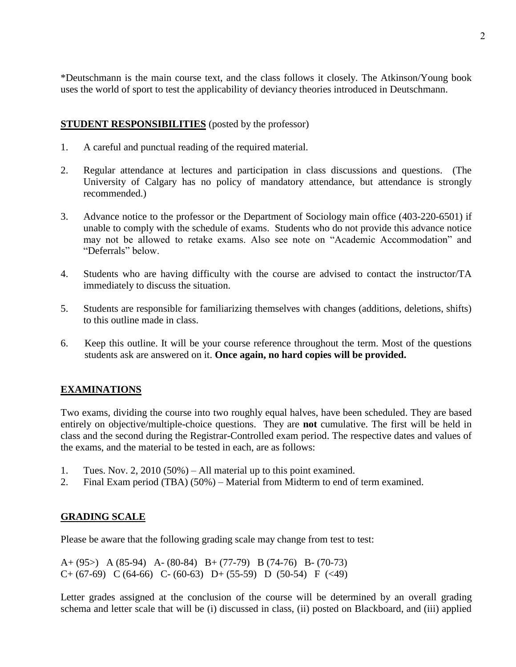\*Deutschmann is the main course text, and the class follows it closely. The Atkinson/Young book uses the world of sport to test the applicability of deviancy theories introduced in Deutschmann.

## **STUDENT RESPONSIBILITIES** (posted by the professor)

- 1. A careful and punctual reading of the required material.
- 2. Regular attendance at lectures and participation in class discussions and questions. (The University of Calgary has no policy of mandatory attendance, but attendance is strongly recommended.)
- 3. Advance notice to the professor or the Department of Sociology main office (403-220-6501) if unable to comply with the schedule of exams. Students who do not provide this advance notice may not be allowed to retake exams. Also see note on "Academic Accommodation" and "Deferrals" below.
- 4. Students who are having difficulty with the course are advised to contact the instructor/TA immediately to discuss the situation.
- 5. Students are responsible for familiarizing themselves with changes (additions, deletions, shifts) to this outline made in class.
- 6. Keep this outline. It will be your course reference throughout the term. Most of the questions students ask are answered on it. **Once again, no hard copies will be provided.**

# **EXAMINATIONS**

Two exams, dividing the course into two roughly equal halves, have been scheduled. They are based entirely on objective/multiple-choice questions. They are **not** cumulative. The first will be held in class and the second during the Registrar-Controlled exam period. The respective dates and values of the exams, and the material to be tested in each, are as follows:

- 1. Tues. Nov. 2, 2010 (50%) All material up to this point examined.
- 2. Final Exam period (TBA) (50%) Material from Midterm to end of term examined.

## **GRADING SCALE**

Please be aware that the following grading scale may change from test to test:

A+ (95>) A (85-94) A- (80-84) B+ (77-79) B (74-76) B- (70-73)  $C+(67-69)$   $C(64-66)$   $C-(60-63)$   $D+(55-59)$   $D(50-54)$   $F(<49)$ 

Letter grades assigned at the conclusion of the course will be determined by an overall grading schema and letter scale that will be (i) discussed in class, (ii) posted on Blackboard, and (iii) applied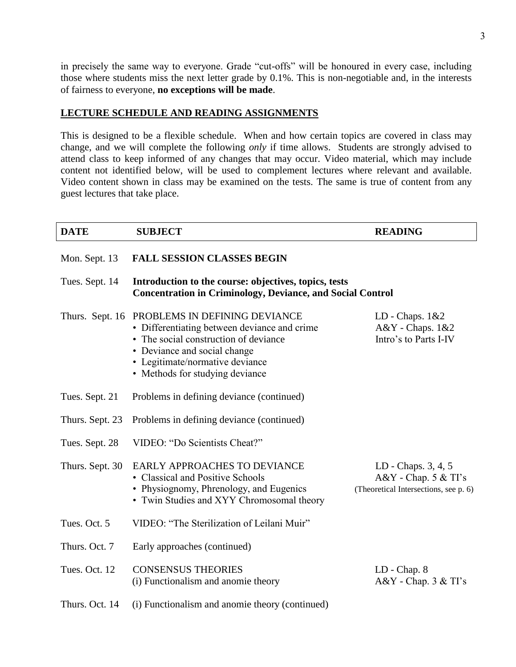in precisely the same way to everyone. Grade "cut-offs" will be honoured in every case, including those where students miss the next letter grade by 0.1%. This is non-negotiable and, in the interests of fairness to everyone, **no exceptions will be made**.

## **LECTURE SCHEDULE AND READING ASSIGNMENTS**

This is designed to be a flexible schedule. When and how certain topics are covered in class may change, and we will complete the following *only* if time allows. Students are strongly advised to attend class to keep informed of any changes that may occur. Video material, which may include content not identified below, will be used to complement lectures where relevant and available. Video content shown in class may be examined on the tests. The same is true of content from any guest lectures that take place.

| <b>DATE</b>     | <b>SUBJECT</b>                                                                                                                                                                                                               | <b>READING</b>                                                                           |  |
|-----------------|------------------------------------------------------------------------------------------------------------------------------------------------------------------------------------------------------------------------------|------------------------------------------------------------------------------------------|--|
| Mon. Sept. 13   | <b>FALL SESSION CLASSES BEGIN</b>                                                                                                                                                                                            |                                                                                          |  |
| Tues. Sept. 14  | Introduction to the course: objectives, topics, tests<br><b>Concentration in Criminology, Deviance, and Social Control</b>                                                                                                   |                                                                                          |  |
| Thurs. Sept. 16 | PROBLEMS IN DEFINING DEVIANCE<br>• Differentiating between deviance and crime<br>• The social construction of deviance<br>• Deviance and social change<br>• Legitimate/normative deviance<br>• Methods for studying deviance | LD - Chaps. $1&2$<br>A&Y - Chaps. 1&2<br>Intro's to Parts I-IV                           |  |
| Tues. Sept. 21  | Problems in defining deviance (continued)                                                                                                                                                                                    |                                                                                          |  |
| Thurs. Sept. 23 | Problems in defining deviance (continued)                                                                                                                                                                                    |                                                                                          |  |
| Tues. Sept. 28  | VIDEO: "Do Scientists Cheat?"                                                                                                                                                                                                |                                                                                          |  |
| Thurs. Sept. 30 | EARLY APPROACHES TO DEVIANCE<br>• Classical and Positive Schools<br>• Physiognomy, Phrenology, and Eugenics<br>• Twin Studies and XYY Chromosomal theory                                                                     | LD - Chaps. 3, 4, 5<br>$A&Y$ - Chap. 5 $&TI$ 's<br>(Theoretical Intersections, see p. 6) |  |
| Tues. Oct. 5    | VIDEO: "The Sterilization of Leilani Muir"                                                                                                                                                                                   |                                                                                          |  |
| Thurs. Oct. 7   | Early approaches (continued)                                                                                                                                                                                                 |                                                                                          |  |
| Tues. Oct. 12   | <b>CONSENSUS THEORIES</b><br>(i) Functionalism and anomie theory                                                                                                                                                             | LD - Chap. 8<br>$A&Y$ - Chap. 3 $&TI's$                                                  |  |
| Thurs. Oct. 14  | (i) Functionalism and anomie theory (continued)                                                                                                                                                                              |                                                                                          |  |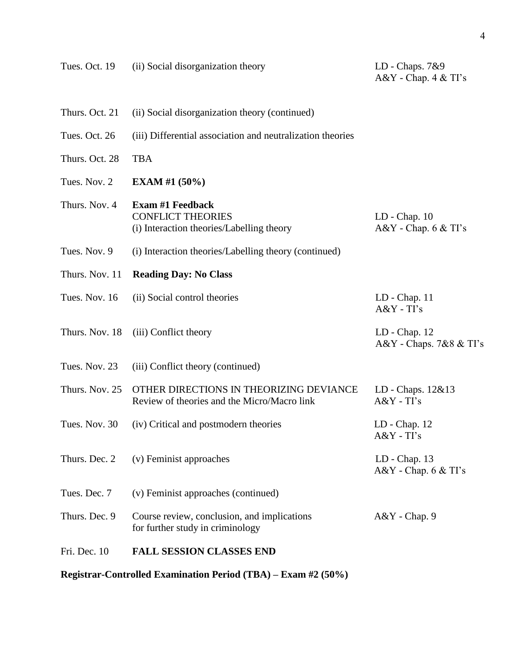| Tues. Oct. 19  | (ii) Social disorganization theory                                                               | LD - Chaps. 7&9<br>$A&Y$ - Chap. 4 $&TI's$ |
|----------------|--------------------------------------------------------------------------------------------------|--------------------------------------------|
| Thurs. Oct. 21 | (ii) Social disorganization theory (continued)                                                   |                                            |
| Tues. Oct. 26  | (iii) Differential association and neutralization theories                                       |                                            |
| Thurs. Oct. 28 | <b>TBA</b>                                                                                       |                                            |
| Tues. Nov. 2   | EXAM #1 $(50\%)$                                                                                 |                                            |
| Thurs. Nov. 4  | <b>Exam #1 Feedback</b><br><b>CONFLICT THEORIES</b><br>(i) Interaction theories/Labelling theory | $LD - Chap. 10$<br>$A&Y$ - Chap. $6&TI's$  |
| Tues. Nov. 9   | (i) Interaction theories/Labelling theory (continued)                                            |                                            |
| Thurs. Nov. 11 | <b>Reading Day: No Class</b>                                                                     |                                            |
| Tues. Nov. 16  | (ii) Social control theories                                                                     | $LD - Chap. 11$<br>$A&Y$ - TI's            |
| Thurs. Nov. 18 | (iii) Conflict theory                                                                            | $LD - Chap. 12$<br>A&Y - Chaps. 7&8 & TI's |
| Tues. Nov. 23  | (iii) Conflict theory (continued)                                                                |                                            |
| Thurs. Nov. 25 | OTHER DIRECTIONS IN THEORIZING DEVIANCE<br>Review of theories and the Micro/Macro link           | LD - Chaps. 12&13<br>$A&Y$ - $TI$ 's       |
| Tues. Nov. 30  | (iv) Critical and postmodern theories                                                            | $LD - Chap. 12$<br>$A&Y$ - $TI$ 's         |
| Thurs. Dec. 2  | (v) Feminist approaches                                                                          | $LD - Chap. 13$<br>$A&Y$ - Chap. 6 $&TI's$ |
| Tues. Dec. 7   | (v) Feminist approaches (continued)                                                              |                                            |
| Thurs. Dec. 9  | Course review, conclusion, and implications<br>for further study in criminology                  | $A&Y$ - Chap. 9                            |
| Fri. Dec. 10   | <b>FALL SESSION CLASSES END</b>                                                                  |                                            |
|                |                                                                                                  |                                            |

**Registrar-Controlled Examination Period (TBA) – Exam #2 (50%)**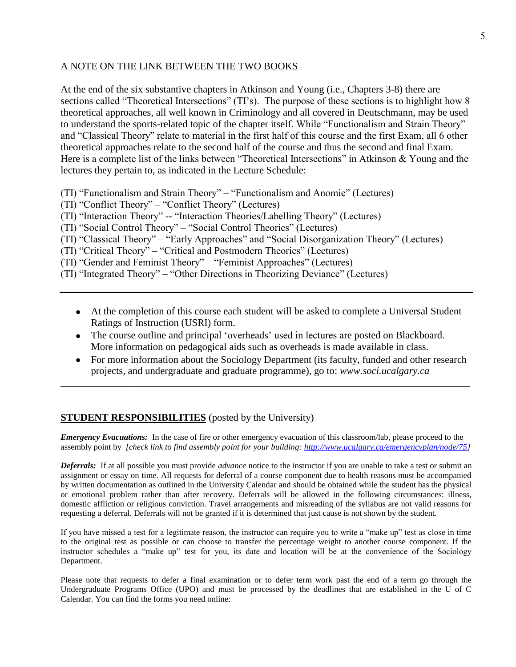## A NOTE ON THE LINK BETWEEN THE TWO BOOKS

At the end of the six substantive chapters in Atkinson and Young (i.e., Chapters 3-8) there are sections called "Theoretical Intersections" (TI's). The purpose of these sections is to highlight how 8 theoretical approaches, all well known in Criminology and all covered in Deutschmann, may be used to understand the sports-related topic of the chapter itself. While "Functionalism and Strain Theory" and "Classical Theory" relate to material in the first half of this course and the first Exam, all 6 other theoretical approaches relate to the second half of the course and thus the second and final Exam. Here is a complete list of the links between "Theoretical Intersections" in Atkinson & Young and the lectures they pertain to, as indicated in the Lecture Schedule:

- (TI) "Functionalism and Strain Theory" "Functionalism and Anomie" (Lectures)
- (TI) "Conflict Theory" "Conflict Theory" (Lectures)
- (TI) "Interaction Theory" -- "Interaction Theories/Labelling Theory" (Lectures)
- (TI) "Social Control Theory" "Social Control Theories" (Lectures)
- (TI) "Classical Theory" "Early Approaches" and "Social Disorganization Theory" (Lectures)
- (TI) "Critical Theory" "Critical and Postmodern Theories" (Lectures)
- (TI) "Gender and Feminist Theory" "Feminist Approaches" (Lectures)
- (TI) "Integrated Theory" "Other Directions in Theorizing Deviance" (Lectures)
	- At the completion of this course each student will be asked to complete a Universal Student Ratings of Instruction (USRI) form.
	- The course outline and principal 'overheads' used in lectures are posted on Blackboard. More information on pedagogical aids such as overheads is made available in class.
	- For more information about the Sociology Department (its faculty, funded and other research projects, and undergraduate and graduate programme), go to: *www.soci.ucalgary.ca*

\_\_\_\_\_\_\_\_\_\_\_\_\_\_\_\_\_\_\_\_\_\_\_\_\_\_\_\_\_\_\_\_\_\_\_\_\_\_\_\_\_\_\_\_\_\_\_\_\_\_\_\_\_\_\_\_\_\_\_\_\_\_\_\_\_\_\_\_\_\_\_\_\_\_\_\_\_\_\_\_\_

## **STUDENT RESPONSIBILITIES** (posted by the University)

*Emergency Evacuations:* In the case of fire or other emergency evacuation of this classroom/lab, please proceed to the assembly point by *[check link to find assembly point for your building: [http://www.ucalgary.ca/emergencyplan/node/75\]](http://www.ucalgary.ca/emergencyplan/node/75)*

*Deferrals:* If at all possible you must provide *advance* notice to the instructor if you are unable to take a test or submit an assignment or essay on time. All requests for deferral of a course component due to health reasons must be accompanied by written documentation as outlined in the University Calendar and should be obtained while the student has the physical or emotional problem rather than after recovery. Deferrals will be allowed in the following circumstances: illness, domestic affliction or religious conviction. Travel arrangements and misreading of the syllabus are not valid reasons for requesting a deferral. Deferrals will not be granted if it is determined that just cause is not shown by the student.

If you have missed a test for a legitimate reason, the instructor can require you to write a "make up" test as close in time to the original test as possible or can choose to transfer the percentage weight to another course component. If the instructor schedules a "make up" test for you, its date and location will be at the convenience of the Sociology Department.

Please note that requests to defer a final examination or to defer term work past the end of a term go through the Undergraduate Programs Office (UPO) and must be processed by the deadlines that are established in the U of C Calendar. You can find the forms you need online: